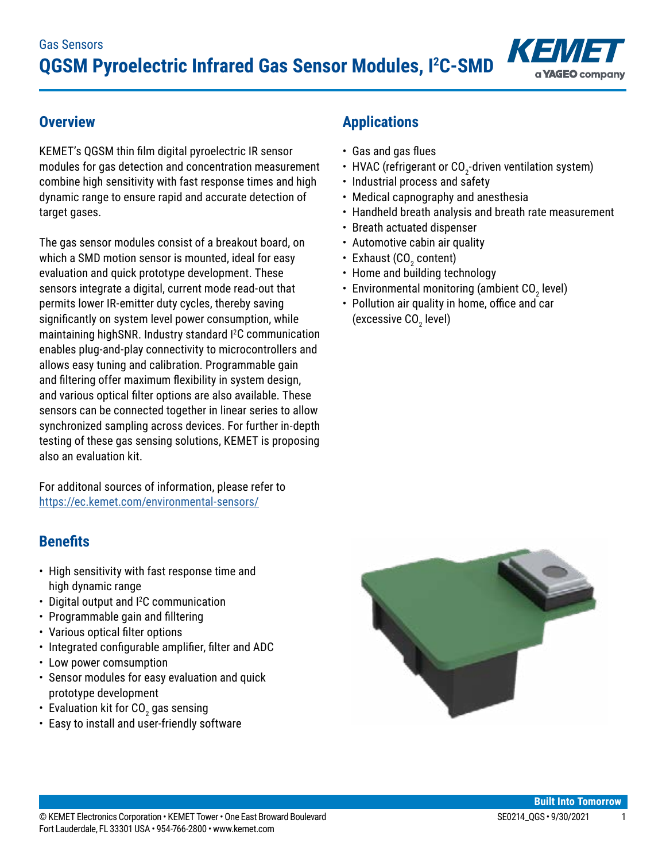

### **Overview**

KEMET's QGSM thin film digital pyroelectric IR sensor modules for gas detection and concentration measurement combine high sensitivity with fast response times and high dynamic range to ensure rapid and accurate detection of target gases.

The gas sensor modules consist of a breakout board, on which a SMD motion sensor is mounted, ideal for easy evaluation and quick prototype development. These sensors integrate a digital, current mode read-out that permits lower IR-emitter duty cycles, thereby saving significantly on system level power consumption, while maintaining highSNR. Industry standard I 2 C communication enables plug-and-play connectivity to microcontrollers and allows easy tuning and calibration. Programmable gain and filtering offer maximum flexibility in system design, and various optical filter options are also available. These sensors can be connected together in linear series to allow synchronized sampling across devices. For further in-depth testing of these gas sensing solutions, KEMET is proposing also an evaluation kit.

For additonal sources of information, please refer to <https://ec.kemet.com/environmental-sensors/>

# **Benefits**

- High sensitivity with fast response time and high dynamic range
- Digital output and <sup>12</sup>C communication
- Programmable gain and filltering
- Various optical filter options
- Integrated configurable amplifier, filter and ADC
- Low power comsumption
- Sensor modules for easy evaluation and quick prototype development
- Evaluation kit for CO $_{\rm 2}$  gas sensing
- Easy to install and user-friendly software

# **Applications**

- • Gas and gas flues
- HVAC (refrigerant or CO $_2$ -driven ventilation system)
- Industrial process and safety
- Medical capnography and anesthesia
- Handheld breath analysis and breath rate measurement
- Breath actuated dispenser
- Automotive cabin air quality
- Exhaust (CO $_{\tiny 2}$  content)
- Home and building technology
- Environmental monitoring (ambient CO $_{\textrm{\tiny{\it 2}}}$  level)
- Pollution air quality in home, office and car (excessive CO $_{\textrm{\tiny{2}}}$  level)

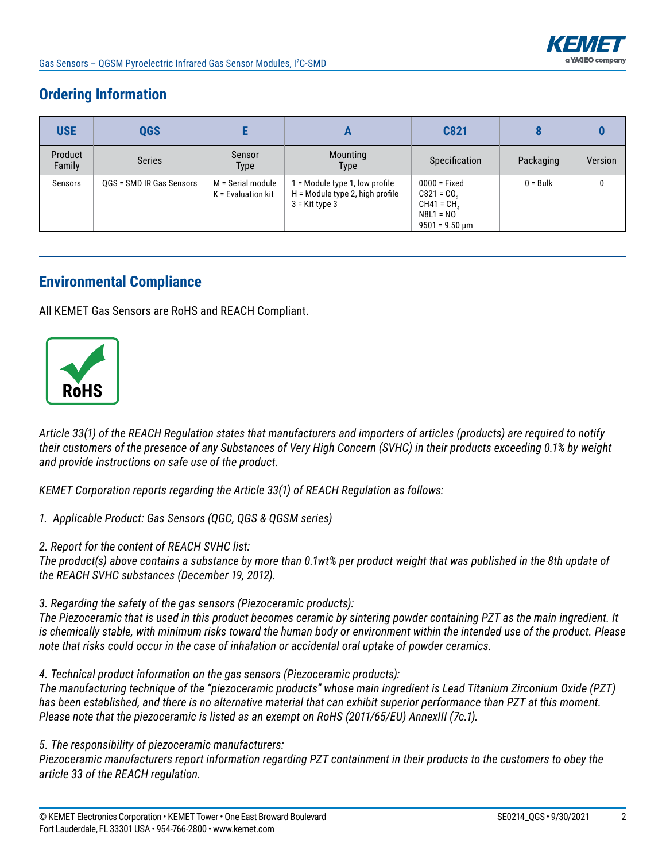

# **Ordering Information**

| <b>USE</b>               | <b>QGS</b>               |                                         |                                                                                         | C821                                                                                |            |         |
|--------------------------|--------------------------|-----------------------------------------|-----------------------------------------------------------------------------------------|-------------------------------------------------------------------------------------|------------|---------|
| <b>Product</b><br>Family | <b>Series</b>            | Sensor<br><b>Type</b>                   | Mounting<br><b>Type</b>                                                                 | Specification                                                                       | Packaging  | Version |
| Sensors                  | QGS = SMD IR Gas Sensors | M = Serial module<br>K = Evaluation kit | $=$ Module type 1, low profile<br>$H =$ Module type 2, high profile<br>$3$ = Kit type 3 | 0000 = Fixed<br>$C821 = CO$<br>$CH41 = CH$<br>N8L1 = NO<br>$9501 = 9.50 \text{ µm}$ | $0 = Bulk$ | 0       |

### **Environmental Compliance**

All KEMET Gas Sensors are RoHS and REACH Compliant.



*Article 33(1) of the REACH Regulation states that manufacturers and importers of articles (products) are required to notify their customers of the presence of any Substances of Very High Concern (SVHC) in their products exceeding 0.1% by weight and provide instructions on safe use of the product.*

*KEMET Corporation reports regarding the Article 33(1) of REACH Regulation as follows:*

*1. Applicable Product: Gas Sensors (QGC, QGS & QGSM series)*

*2. Report for the content of REACH SVHC list:* 

*The product(s) above contains a substance by more than 0.1wt% per product weight that was published in the 8th update of the REACH SVHC substances (December 19, 2012).* 

*3. Regarding the safety of the gas sensors (Piezoceramic products):*

*The Piezoceramic that is used in this product becomes ceramic by sintering powder containing PZT as the main ingredient. It is chemically stable, with minimum risks toward the human body or environment within the intended use of the product. Please note that risks could occur in the case of inhalation or accidental oral uptake of powder ceramics.*

*4. Technical product information on the gas sensors (Piezoceramic products):*

*The manufacturing technique of the "piezoceramic products" whose main ingredient is Lead Titanium Zirconium Oxide (PZT) has been established, and there is no alternative material that can exhibit superior performance than PZT at this moment. Please note that the piezoceramic is listed as an exempt on RoHS (2011/65/EU) AnnexIII (7c.1).*

*5. The responsibility of piezoceramic manufacturers:*

*Piezoceramic manufacturers report information regarding PZT containment in their products to the customers to obey the article 33 of the REACH regulation.*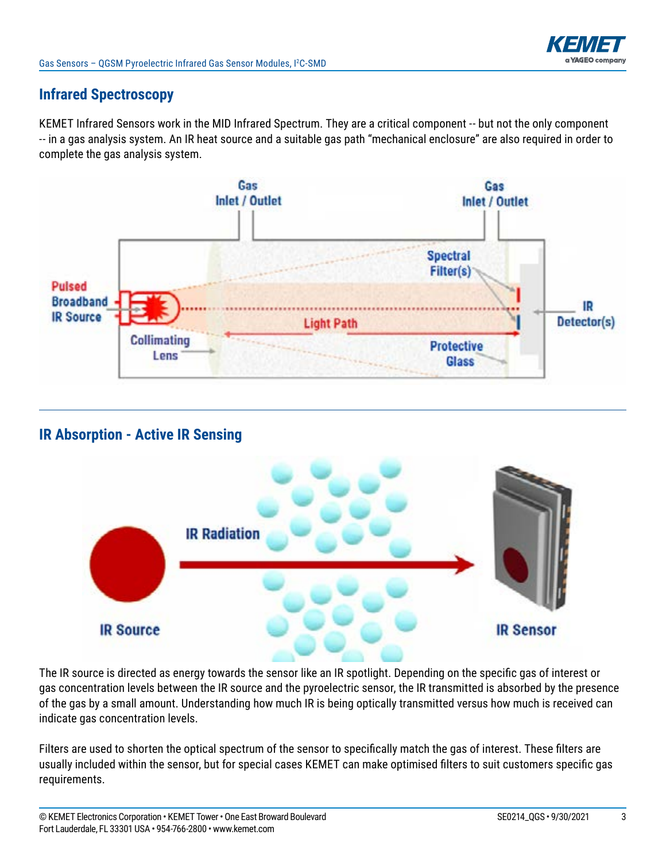

# **Infrared Spectroscopy**

KEMET Infrared Sensors work in the MID Infrared Spectrum. They are a critical component -- but not the only component -- in a gas analysis system. An IR heat source and a suitable gas path "mechanical enclosure" are also required in order to complete the gas analysis system.



### **IR Absorption - Active IR Sensing**



The IR source is directed as energy towards the sensor like an IR spotlight. Depending on the specific gas of interest or gas concentration levels between the IR source and the pyroelectric sensor, the IR transmitted is absorbed by the presence of the gas by a small amount. Understanding how much IR is being optically transmitted versus how much is received can indicate gas concentration levels.

Filters are used to shorten the optical spectrum of the sensor to specifically match the gas of interest. These filters are usually included within the sensor, but for special cases KEMET can make optimised filters to suit customers specific gas requirements.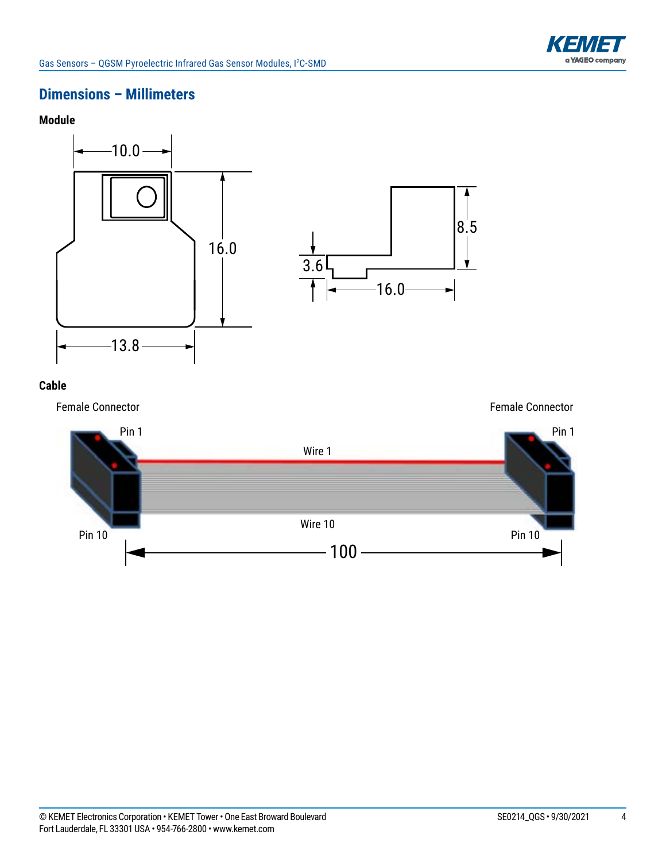

# **Dimensions – Millimeters**





#### **Cable**

Female Connector

Female Connector

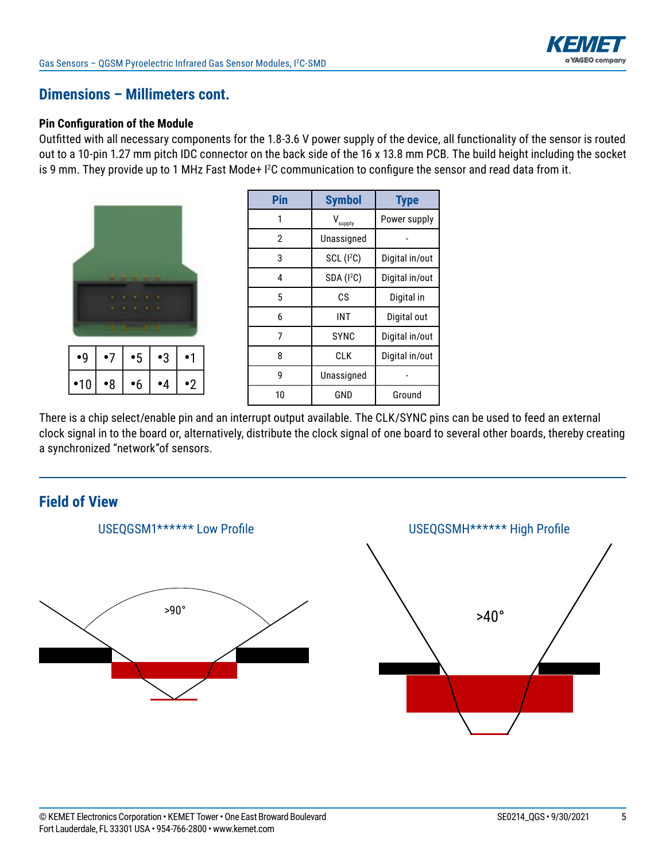

### **Dimensions – Millimeters cont.**

#### **Pin Configuration of the Module**

Outfitted with all necessary components for the 1.8-3.6 V power supply of the device, all functionality of the sensor is routed out to a 10-pin 1.27 mm pitch IDC connector on the back side of the 16 x 13.8 mm PCB. The build height including the socket is 9 mm. They provide up to 1 MHz Fast Mode+ I2 C communication to configure the sensor and read data from it.

| $\bullet$ 9 | •7          | •5 | •3 |           |
|-------------|-------------|----|----|-----------|
| •10         | $\bullet 8$ | 6  |    | $\cdot$ 2 |

| Pin | <b>Symbol</b>          | <b>Type</b>    |
|-----|------------------------|----------------|
| 1   | supply                 | Power supply   |
| 2   | Unassigned             |                |
| 3   | $SCL$ ( $I2C$ )        | Digital in/out |
| 4   | SDA (I <sup>2</sup> C) | Digital in/out |
| 5   | СS                     | Digital in     |
| 6   | INT                    | Digital out    |
| 7   | SYNC                   | Digital in/out |
| 8   | CLK                    | Digital in/out |
| g   | Unassigned             |                |
| 10  | GND                    | Ground         |

There is a chip select/enable pin and an interrupt output available. The CLK/SYNC pins can be used to feed an external clock signal in to the board or, alternatively, distribute the clock signal of one board to several other boards, thereby creating a synchronized "network"of sensors.

### **Field of View**





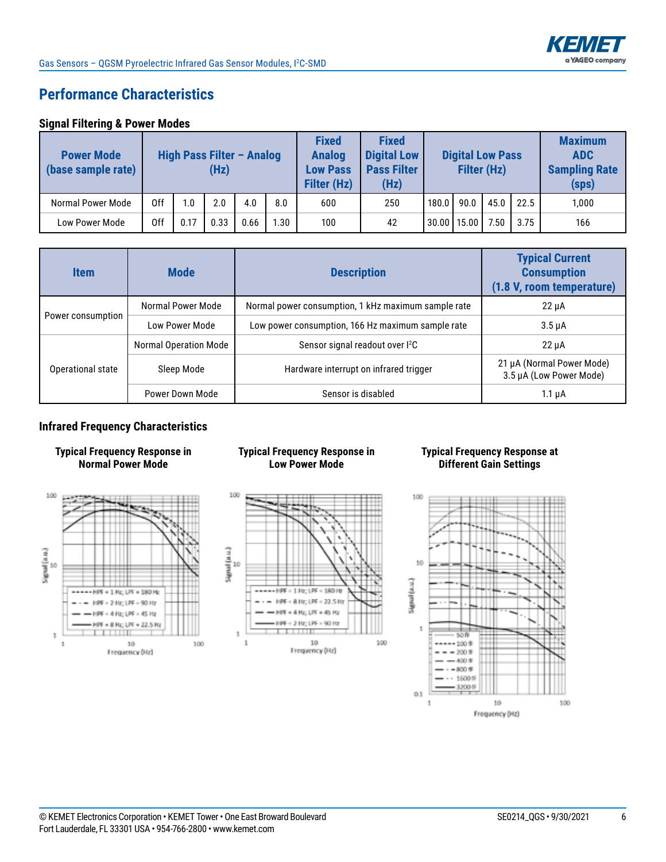

# **Performance Characteristics**

#### **Signal Filtering & Power Modes**

| <b>Power Mode</b><br>(base sample rate) | High Pass Filter - Analog<br>(Hz) |      | <b>Fixed</b><br><b>Analog</b><br><b>Low Pass</b><br><b>Filter (Hz)</b> | <b>Fixed</b><br><b>Digital Low</b><br><b>Pass Filter</b><br>(Hz) |      | <b>Digital Low Pass</b><br>Filter (Hz) |     |       | <b>Maximum</b><br><b>ADC</b><br><b>Sampling Rate</b><br>(sps) |      |      |       |
|-----------------------------------------|-----------------------------------|------|------------------------------------------------------------------------|------------------------------------------------------------------|------|----------------------------------------|-----|-------|---------------------------------------------------------------|------|------|-------|
| Normal Power Mode                       | 0ff                               | 1.0  | 2.0                                                                    | 4.0                                                              | 8.0  | 600                                    | 250 | 180.0 | 90.0                                                          | 45.0 | 22.5 | 1,000 |
| <b>Low Power Mode</b>                   | 0ff                               | 0.17 | 0.33                                                                   | 0.66                                                             | 1.30 | 100                                    | 42  |       | $30.00$   15.00   7.50                                        |      | 3.75 | 166   |

| <b>Item</b>       | <b>Mode</b>                  | <b>Description</b>                                  | <b>Typical Current</b><br><b>Consumption</b><br>(1.8 V, room temperature) |
|-------------------|------------------------------|-----------------------------------------------------|---------------------------------------------------------------------------|
|                   | Normal Power Mode            | Normal power consumption, 1 kHz maximum sample rate | $22 \mu A$                                                                |
| Power consumption | Low Power Mode               | Low power consumption, 166 Hz maximum sample rate   | $3.5 \mu A$                                                               |
|                   | <b>Normal Operation Mode</b> | Sensor signal readout over I <sup>2</sup> C         | $22 \mu A$                                                                |
| Operational state | Sleep Mode                   | Hardware interrupt on infrared trigger              | 21 µA (Normal Power Mode)<br>3.5 µA (Low Power Mode)                      |
|                   | Power Down Mode              | Sensor is disabled                                  | $1.1 \mu A$                                                               |

#### **Infrared Frequency Characteristics**





#### **Typical Frequency Response in Low Power Mode**



#### **Typical Frequency Response at Different Gain Settings**

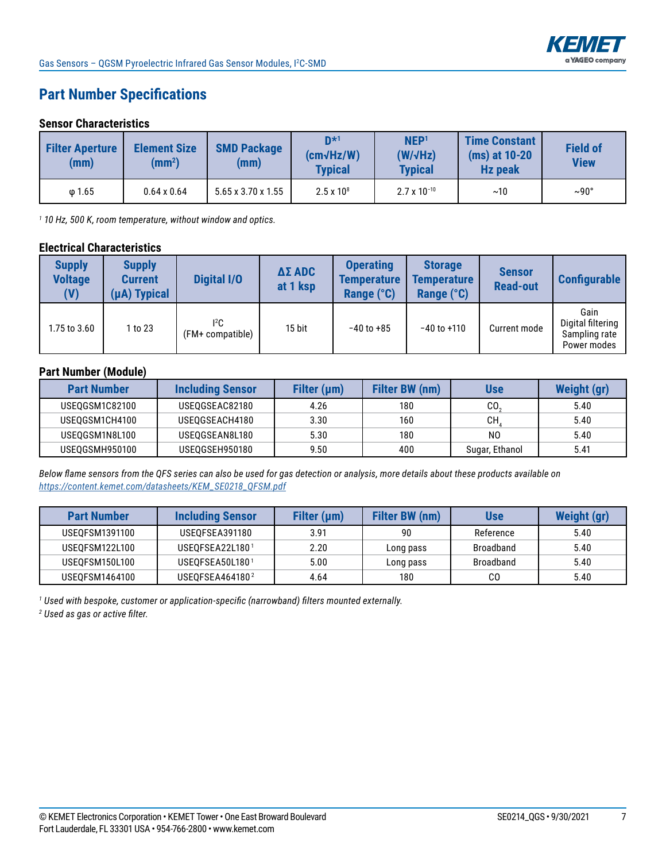

# **Part Number Specifications**

#### **Sensor Characteristics**

| <b>Filter Aperture</b><br>(mm) | <b>Element Size</b><br>$\text{(mm}^2)$ | <b>SMD Package</b><br>(mm)     | $n*1$<br>$(cm\sqrt{Hz/W})$<br><b>Typical</b> | NEP <sup>1</sup><br>$(W/\sqrt{Hz})$<br><b>Typical</b> | <b>Time Constant</b><br>$(ms)$ at 10-20<br><b>Hz peak</b> | <b>Field of</b><br><b>View</b> |
|--------------------------------|----------------------------------------|--------------------------------|----------------------------------------------|-------------------------------------------------------|-----------------------------------------------------------|--------------------------------|
| $\omega$ 1.65                  | $0.64 \times 0.64$                     | $5.65 \times 3.70 \times 1.55$ | $2.5 \times 10^{8}$                          | $2.7 \times 10^{-10}$                                 | ~10                                                       | $~10^{\circ}$                  |

*1 10 Hz, 500 K, room temperature, without window and optics.*

#### **Electrical Characteristics**

| <b>Supply</b><br><b>Voltage</b><br>(V) | <b>Supply</b><br><b>Current</b><br>$(\mu A)$ Typical | <b>Digital I/O</b>      | <b>ΔΣ ADC</b><br>at 1 ksp | <b>Operating</b><br><b>Temperature</b><br>Range (°C) | <b>Storage</b><br><b>Temperature</b><br>Range (°C) | <b>Sensor</b><br><b>Read-out</b> | <b>Configurable</b>                                       |
|----------------------------------------|------------------------------------------------------|-------------------------|---------------------------|------------------------------------------------------|----------------------------------------------------|----------------------------------|-----------------------------------------------------------|
| 1.75 to 3.60                           | 1 to 23                                              | 12C<br>(FM+ compatible) | 15 bit                    | $-40$ to $+85$                                       | $-40$ to $+110$                                    | Current mode                     | Gain<br>Digital filtering<br>Sampling rate<br>Power modes |

#### **Part Number (Module)**

| <b>Part Number</b> | <b>Including Sensor</b> | Filter $(\mu m)$ | <b>Filter BW (nm)</b> | Use            | Weight (gr) |
|--------------------|-------------------------|------------------|-----------------------|----------------|-------------|
| USEOGSM1C82100     | USEOGSEAC82180          | 4.26             | 180                   | CO.            | 5.40        |
| USEQGSM1CH4100     | USEOGSEACH4180          | 3.30             | 160                   | CН             | 5.40        |
| USEOGSM1N8L100     | USEOGSEAN8L180          | 5.30             | 180                   | N <sub>0</sub> | 5.40        |
| USEQGSMH950100     | USEQGSEH950180          | 9.50             | 400                   | Sugar, Ethanol | 5.41        |

*Below flame sensors from the QFS series can also be used for gas detection or analysis, more details about these products available on [https://content.kemet.com/datasheets/KEM\\_SE0218\\_QFSM.pdf](https://content.kemet.com/datasheets/KEM_SE0218_QFSM.pdf)*

| <b>Part Number</b> | <b>Including Sensor</b>     | Filter $(\mu m)$ | <b>Filter BW (nm)</b> | Use       | <b>Weight (gr)</b> |
|--------------------|-----------------------------|------------------|-----------------------|-----------|--------------------|
| USEOFSM1391100     | USEOFSEA391180              | 3.91             | 90                    | Reference | 5.40               |
| USEOFSM122L100     | USEOFSEA22L1801             | 2.20             | Long pass             | Broadband | 5.40               |
| USEOFSM150L100     | USEOFSEA50L1801             | 5.00             | Long pass             | Broadband | 5.40               |
| USE0FSM1464100     | USEOFSEA464180 <sup>2</sup> | 4.64             | 180                   | CO        | 5.40               |

*1 Used with bespoke, customer or application-specific (narrowband) filters mounted externally.*

*2 Used as gas or active filter.*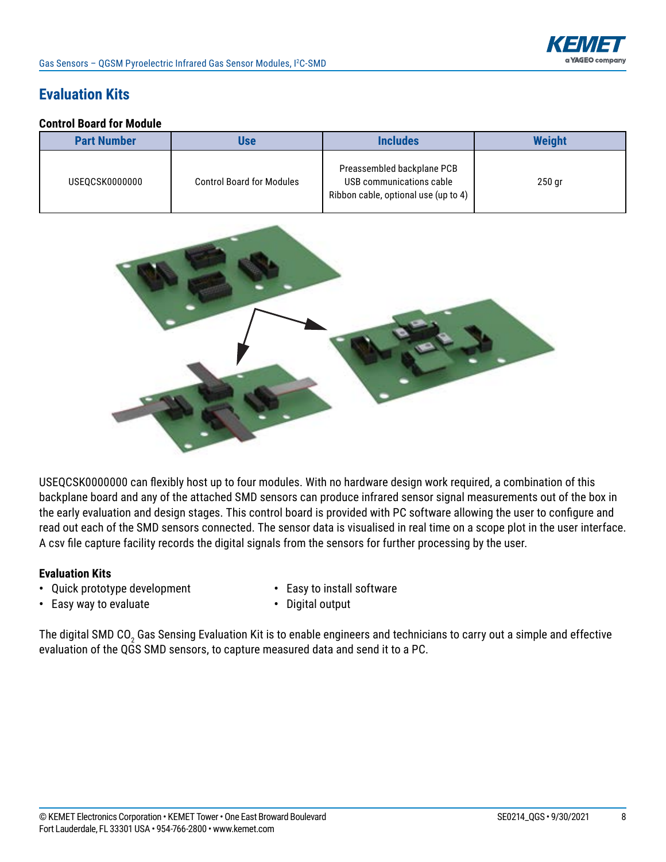

# **Evaluation Kits**

#### **Control Board for Module**

| <b>Part Number</b> | Use                              | <b>Includes</b>                                                                                | <b>Weight</b> |
|--------------------|----------------------------------|------------------------------------------------------------------------------------------------|---------------|
| USEOCSK0000000     | <b>Control Board for Modules</b> | Preassembled backplane PCB<br>USB communications cable<br>Ribbon cable, optional use (up to 4) | $250$ gr      |



USEQCSK0000000 can flexibly host up to four modules. With no hardware design work required, a combination of this backplane board and any of the attached SMD sensors can produce infrared sensor signal measurements out of the box in the early evaluation and design stages. This control board is provided with PC software allowing the user to configure and read out each of the SMD sensors connected. The sensor data is visualised in real time on a scope plot in the user interface. A csv file capture facility records the digital signals from the sensors for further processing by the user.

#### **Evaluation Kits**

- **•** Quick prototype development **•** Easy to install software
	-
- **•** Easy way to evaluate **•** Digital output
- 

The digital SMD CO $_{\rm 2}$  Gas Sensing Evaluation Kit is to enable engineers and technicians to carry out a simple and effective evaluation of the QGS SMD sensors, to capture measured data and send it to a PC.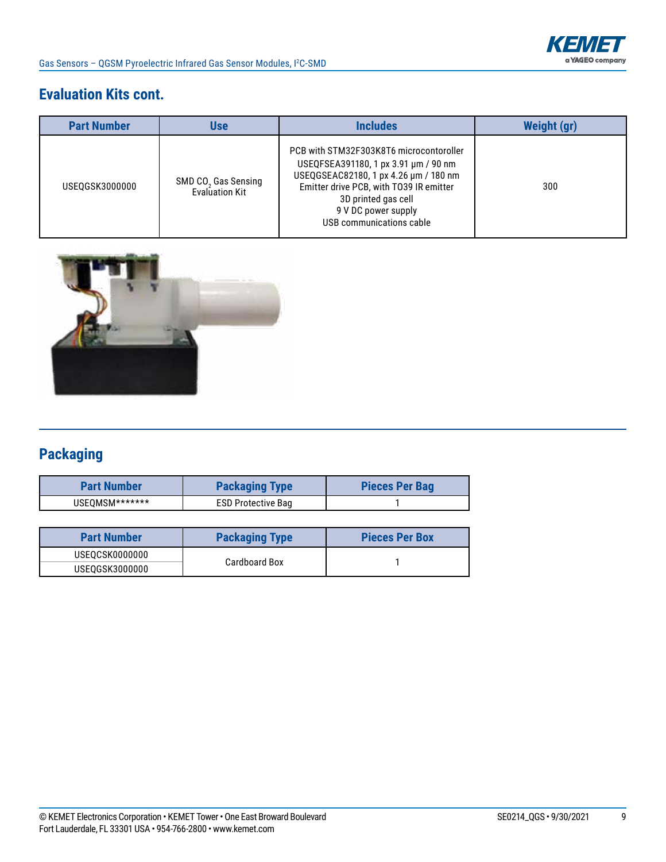

# **Evaluation Kits cont.**

| <b>Part Number</b> | Use                                                      | <b>Includes</b>                                                                                                                                                                                                                               | <b>Weight (gr)</b> |
|--------------------|----------------------------------------------------------|-----------------------------------------------------------------------------------------------------------------------------------------------------------------------------------------------------------------------------------------------|--------------------|
| USE0GSK3000000     | SMD CO <sub>2</sub> Gas Sensing<br><b>Evaluation Kit</b> | PCB with STM32F303K8T6 microcontoroller<br>USEQFSEA391180, 1 px 3.91 um / 90 nm<br>USEQGSEAC82180, 1 px 4.26 um / 180 nm<br>Emitter drive PCB, with TO39 IR emitter<br>3D printed gas cell<br>9 V DC power supply<br>USB communications cable | 300                |



# **Packaging**

| <b>Part Number</b> | <b>Packaging Type</b>     | <b>Pieces Per Bag</b> |
|--------------------|---------------------------|-----------------------|
| USEOMSM*******     | <b>ESD Protective Bag</b> |                       |

| <b>Part Number</b> | <b>Packaging Type</b> | <b>Pieces Per Box</b> |
|--------------------|-----------------------|-----------------------|
| USEOCSK0000000     | Cardboard Box         |                       |
| USE0GSK3000000     |                       |                       |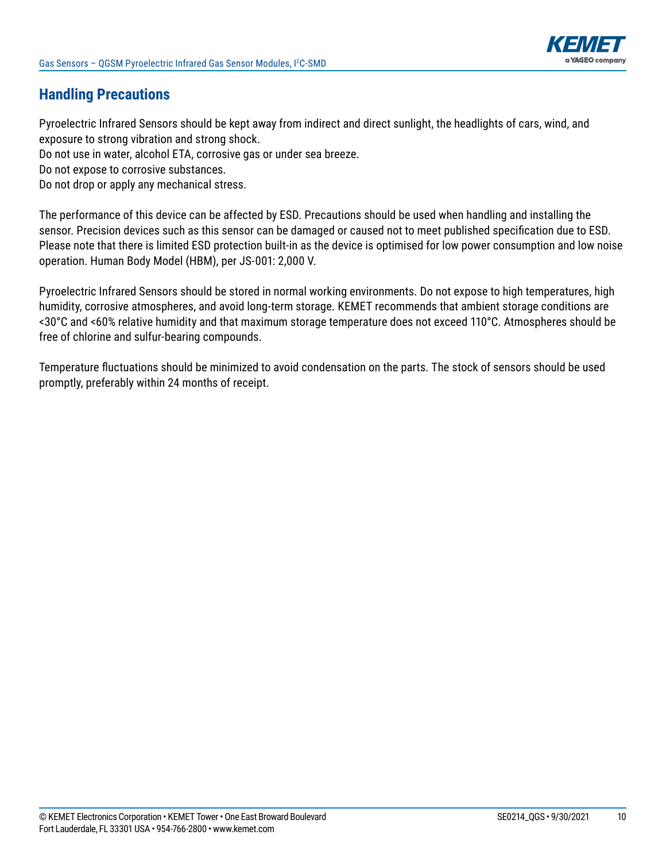

# **Handling Precautions**

Pyroelectric Infrared Sensors should be kept away from indirect and direct sunlight, the headlights of cars, wind, and exposure to strong vibration and strong shock.

Do not use in water, alcohol ETA, corrosive gas or under sea breeze.

Do not expose to corrosive substances.

Do not drop or apply any mechanical stress.

The performance of this device can be affected by ESD. Precautions should be used when handling and installing the sensor. Precision devices such as this sensor can be damaged or caused not to meet published specification due to ESD. Please note that there is limited ESD protection built-in as the device is optimised for low power consumption and low noise operation. Human Body Model (HBM), per JS-001: 2,000 V.

Pyroelectric Infrared Sensors should be stored in normal working environments. Do not expose to high temperatures, high humidity, corrosive atmospheres, and avoid long-term storage. KEMET recommends that ambient storage conditions are <30°C and <60% relative humidity and that maximum storage temperature does not exceed 110°C. Atmospheres should be free of chlorine and sulfur-bearing compounds.

Temperature fluctuations should be minimized to avoid condensation on the parts. The stock of sensors should be used promptly, preferably within 24 months of receipt.